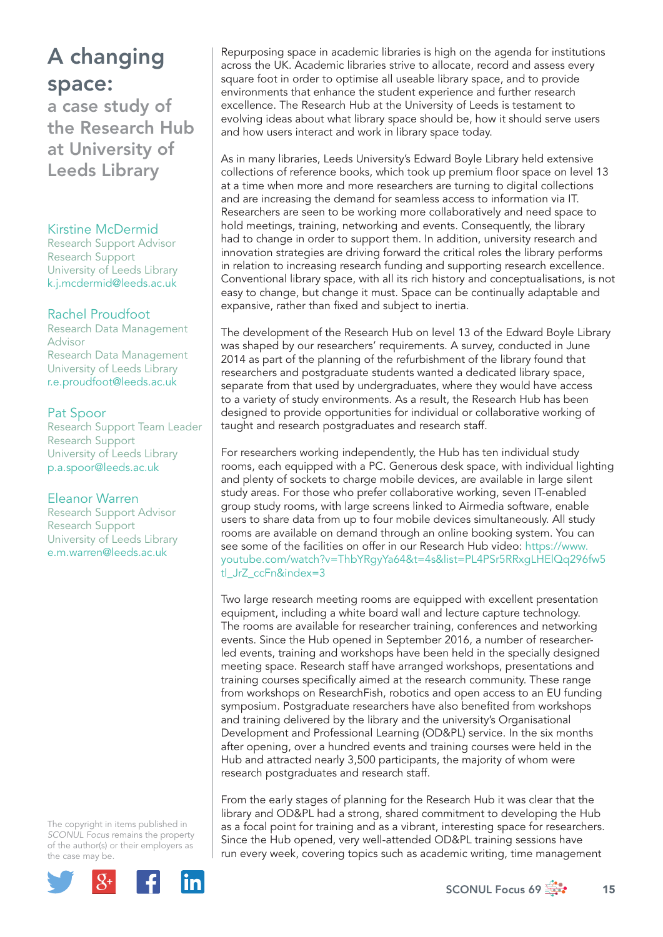# A changing space:

a case study of the Research Hub at University of Leeds Library

### Kirstine McDermid

Research Support Advisor Research Support University of Leeds Library k.j.mcdermid@leeds.ac.uk

### Rachel Proudfoot

Research Data Management Advisor Research Data Management University of Leeds Library r.e.proudfoot@leeds.ac.uk

### Pat Spoor

Research Support Team Leader Research Support University of Leeds Library p.a.spoor@leeds.ac.uk

### Eleanor Warren

Research Support Advisor Research Support University of Leeds Library e.m.warren@leeds.ac.uk

The copyright in items published in *SCONUL Focus* remains the property of the author(s) or their employers as the case may be.



Repurposing space in academic libraries is high on the agenda for institutions across the UK. Academic libraries strive to allocate, record and assess every square foot in order to optimise all useable library space, and to provide environments that enhance the student experience and further research excellence. The Research Hub at the University of Leeds is testament to evolving ideas about what library space should be, how it should serve users and how users interact and work in library space today.

As in many libraries, Leeds University's Edward Boyle Library held extensive collections of reference books, which took up premium floor space on level 13 at a time when more and more researchers are turning to digital collections and are increasing the demand for seamless access to information via IT. Researchers are seen to be working more collaboratively and need space to hold meetings, training, networking and events. Consequently, the library had to change in order to support them. In addition, university research and innovation strategies are driving forward the critical roles the library performs in relation to increasing research funding and supporting research excellence. Conventional library space, with all its rich history and conceptualisations, is not easy to change, but change it must. Space can be continually adaptable and expansive, rather than fixed and subject to inertia.

The development of the Research Hub on level 13 of the Edward Boyle Library was shaped by our researchers' requirements. A survey, conducted in June 2014 as part of the planning of the refurbishment of the library found that researchers and postgraduate students wanted a dedicated library space, separate from that used by undergraduates, where they would have access to a variety of study environments. As a result, the Research Hub has been designed to provide opportunities for individual or collaborative working of taught and research postgraduates and research staff.

For researchers working independently, the Hub has ten individual study rooms, each equipped with a PC. Generous desk space, with individual lighting and plenty of sockets to charge mobile devices, are available in large silent study areas. For those who prefer collaborative working, seven IT-enabled group study rooms, with large screens linked to Airmedia software, enable users to share data from up to four mobile devices simultaneously. All study rooms are available on demand through an online booking system. You can see some of the facilities on offer in our Research Hub video: https://www. youtube.com/watch?v=ThbYRgyYa64&t=4s&list=PL4PSr5RRxgLHElQq296fw5 tl\_JrZ\_ccFn&index=3

Two large research meeting rooms are equipped with excellent presentation equipment, including a white board wall and lecture capture technology. The rooms are available for researcher training, conferences and networking events. Since the Hub opened in September 2016, a number of researcherled events, training and workshops have been held in the specially designed meeting space. Research staff have arranged workshops, presentations and training courses specifically aimed at the research community. These range from workshops on ResearchFish, robotics and open access to an EU funding symposium. Postgraduate researchers have also benefited from workshops and training delivered by the library and the university's Organisational Development and Professional Learning (OD&PL) service. In the six months after opening, over a hundred events and training courses were held in the Hub and attracted nearly 3,500 participants, the majority of whom were research postgraduates and research staff.

From the early stages of planning for the Research Hub it was clear that the library and OD&PL had a strong, shared commitment to developing the Hub as a focal point for training and as a vibrant, interesting space for researchers. Since the Hub opened, very well-attended OD&PL training sessions have run every week, covering topics such as academic writing, time management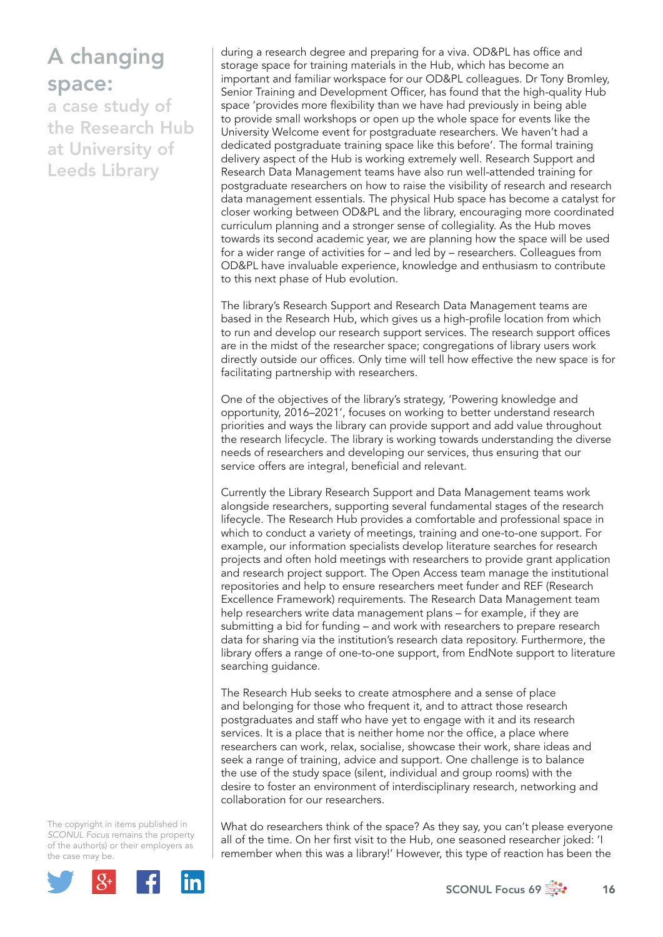# A changing space:

a case study of the Research Hub at University of Leeds Library

during a research degree and preparing for a viva. OD&PL has office and storage space for training materials in the Hub, which has become an important and familiar workspace for our OD&PL colleagues. Dr Tony Bromley, Senior Training and Development Officer, has found that the high-quality Hub space 'provides more flexibility than we have had previously in being able to provide small workshops or open up the whole space for events like the University Welcome event for postgraduate researchers. We haven't had a dedicated postgraduate training space like this before'. The formal training delivery aspect of the Hub is working extremely well. Research Support and Research Data Management teams have also run well-attended training for postgraduate researchers on how to raise the visibility of research and research data management essentials. The physical Hub space has become a catalyst for closer working between OD&PL and the library, encouraging more coordinated curriculum planning and a stronger sense of collegiality. As the Hub moves towards its second academic year, we are planning how the space will be used for a wider range of activities for – and led by – researchers. Colleagues from OD&PL have invaluable experience, knowledge and enthusiasm to contribute to this next phase of Hub evolution.

The library's Research Support and Research Data Management teams are based in the Research Hub, which gives us a high-profile location from which to run and develop our research support services. The research support offices are in the midst of the researcher space; congregations of library users work directly outside our offices. Only time will tell how effective the new space is for facilitating partnership with researchers.

One of the objectives of the library's strategy, 'Powering knowledge and opportunity, 2016–2021', focuses on working to better understand research priorities and ways the library can provide support and add value throughout the research lifecycle. The library is working towards understanding the diverse needs of researchers and developing our services, thus ensuring that our service offers are integral, beneficial and relevant.

Currently the Library Research Support and Data Management teams work alongside researchers, supporting several fundamental stages of the research lifecycle. The Research Hub provides a comfortable and professional space in which to conduct a variety of meetings, training and one-to-one support. For example, our information specialists develop literature searches for research projects and often hold meetings with researchers to provide grant application and research project support. The Open Access team manage the institutional repositories and help to ensure researchers meet funder and REF (Research Excellence Framework) requirements. The Research Data Management team help researchers write data management plans – for example, if they are submitting a bid for funding – and work with researchers to prepare research data for sharing via the institution's research data repository. Furthermore, the library offers a range of one-to-one support, from EndNote support to literature searching guidance.

The Research Hub seeks to create atmosphere and a sense of place and belonging for those who frequent it, and to attract those research postgraduates and staff who have yet to engage with it and its research services. It is a place that is neither home nor the office, a place where researchers can work, relax, socialise, showcase their work, share ideas and seek a range of training, advice and support. One challenge is to balance the use of the study space (silent, individual and group rooms) with the desire to foster an environment of interdisciplinary research, networking and collaboration for our researchers.

The copyright in items published in *SCONUL Focus* remains the property of the author(s) or their employers as the case may be.



What do researchers think of the space? As they say, you can't please everyone all of the time. On her first visit to the Hub, one seasoned researcher joked: 'I remember when this was a library!' However, this type of reaction has been the